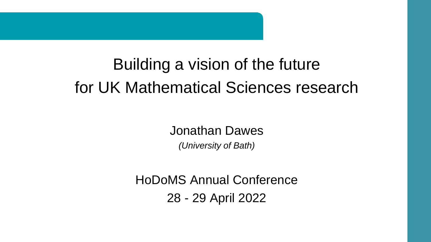# Building a vision of the future for UK Mathematical Sciences research

Jonathan Dawes *(University of Bath)*

HoDoMS Annual Conference 28 - 29 April 2022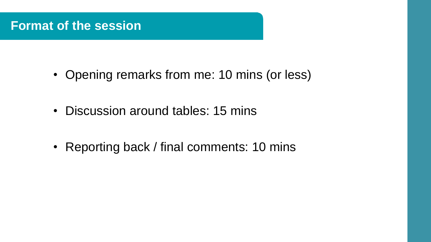## **Format of the session**

- Opening remarks from me: 10 mins (or less)
- Discussion around tables: 15 mins
- Reporting back / final comments: 10 mins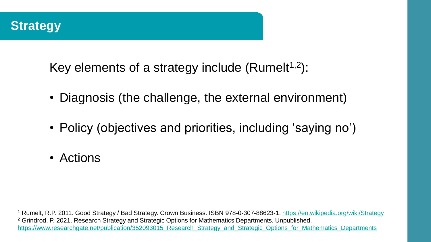

Key elements of a strategy include (Rumelt<sup>1,2</sup>):

- Diagnosis (the challenge, the external environment)
- Policy (objectives and priorities, including 'saying no')
- Actions

<sup>1</sup> Rumelt, R.P. 2011. Good Strategy / Bad Strategy. Crown Business. ISBN 978-0-307-88623-1.<https://en.wikipedia.org/wiki/Strategy> <sup>2</sup> Grindrod, P. 2021. Research Strategy and Strategic Options for Mathematics Departments. Unpublished. https://www.researchgate.net/publication/352093015 Research Strategy and Strategic Options for Mathematics Departments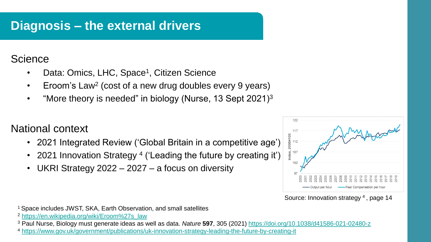## **Diagnosis – the external drivers**

#### **Science**

- Data: Omics, LHC, Space<sup>1</sup>, Citizen Science
- Eroom's Law<sup>2</sup> (cost of a new drug doubles every 9 years)
- "More theory is needed" in biology (Nurse, 13 Sept 2021) $3$

#### National context

- 2021 Integrated Review ('Global Britain in a competitive age')
- 2021 Innovation Strategy <sup>4</sup> ('Leading the future by creating it')
- UKRI Strategy  $2022 2027 a$  focus on diversity



Source: Innovation strategy<sup>4</sup>, page 14

<sup>1</sup>Space includes JWST, SKA, Earth Observation, and small satellites

<sup>2</sup> [https://en.wikipedia.org/wiki/Eroom%27s\\_law](https://en.wikipedia.org/wiki/Eroom)

<sup>3</sup> Paul Nurse, Biology must generate ideas as well as data. *Nature* **597**, 305 (2021)<https://doi.org/10.1038/d41586-021-02480-z>

<sup>4</sup> <https://www.gov.uk/government/publications/uk-innovation-strategy-leading-the-future-by-creating-it>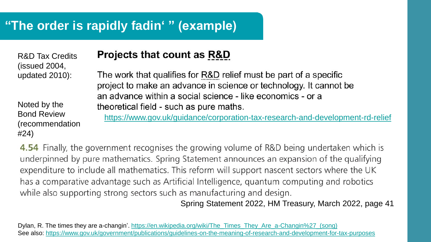# **"The order is rapidly fadin' " (example)**

**Projects that count as R&D** R&D Tax Credits (issued 2004, The work that qualifies for R&D relief must be part of a specific updated 2010): project to make an advance in science or technology. It cannot be an advance within a social science - like economics - or a Noted by the theoretical field - such as pure maths. Bond Review <https://www.gov.uk/guidance/corporation-tax-research-and-development-rd-relief>(recommendation #24)

4.54 Finally, the government recognises the growing volume of R&D being undertaken which is underpinned by pure mathematics. Spring Statement announces an expansion of the qualifying expenditure to include all mathematics. This reform will support nascent sectors where the UK has a comparative advantage such as Artificial Intelligence, quantum computing and robotics while also supporting strong sectors such as manufacturing and design.

Spring Statement 2022, HM Treasury, March 2022, page 41

Dylan, R. The times they are a-changin'. [https://en.wikipedia.org/wiki/The\\_Times\\_They\\_Are\\_a-Changin%27\\_\(song\)](https://en.wikipedia.org/wiki/The_Times_They_Are_a-Changin) See also:<https://www.gov.uk/government/publications/guidelines-on-the-meaning-of-research-and-development-for-tax-purposes>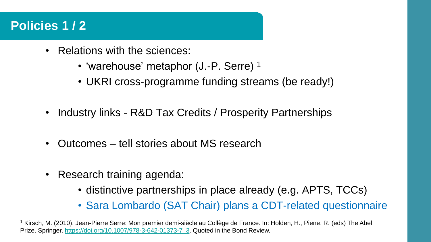## **Policies 1 / 2**

- Relations with the sciences:
	- 'warehouse' metaphor (J.-P. Serre)<sup>1</sup>
	- UKRI cross-programme funding streams (be ready!)
- Industry links R&D Tax Credits / Prosperity Partnerships
- Outcomes tell stories about MS research
- Research training agenda:
	- distinctive partnerships in place already (e.g. APTS, TCCs)
	- Sara Lombardo (SAT Chair) plans a CDT-related questionnaire

<sup>1</sup> Kirsch, M. (2010). Jean-Pierre Serre: Mon premier demi-siècle au Collège de France. In: Holden, H., Piene, R. (eds) The Abel Prize. Springer. [https://doi.org/10.1007/978-3-642-01373-7\\_3](https://doi.org/10.1007/978-3-642-01373-7_3). Quoted in the Bond Review.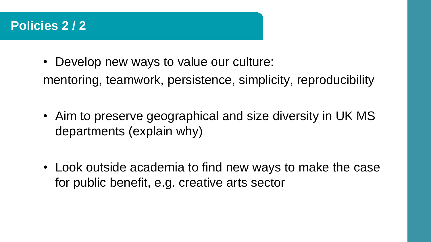## **Policies 2 / 2**

- Develop new ways to value our culture: mentoring, teamwork, persistence, simplicity, reproducibility
- Aim to preserve geographical and size diversity in UK MS departments (explain why)
- Look outside academia to find new ways to make the case for public benefit, e.g. creative arts sector